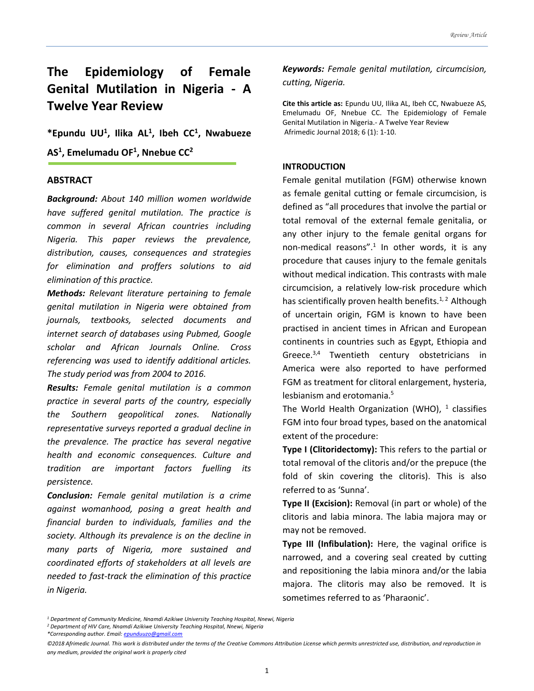# **The Epidemiology of Female Genital Mutilation in Nigeria - A Twelve Year Review**

**\*Epundu UU<sup>1</sup> , Ilika AL<sup>1</sup> , Ibeh CC<sup>1</sup> , Nwabueze AS<sup>1</sup> , Emelumadu OF<sup>1</sup> , Nnebue CC 2**

#### **ABSTRACT**

*Background: About 140 million women worldwide have suffered genital mutilation. The practice is common in several African countries including Nigeria. This paper reviews the prevalence, distribution, causes, consequences and strategies for elimination and proffers solutions to aid elimination of this practice.* 

*Methods: Relevant literature pertaining to female genital mutilation in Nigeria were obtained from journals, textbooks, selected documents and internet search of databases using Pubmed, Google scholar and African Journals Online. Cross referencing was used to identify additional articles. The study period was from 2004 to 2016.*

*Results: Female genital mutilation is a common practice in several parts of the country, especially the Southern geopolitical zones. Nationally representative surveys reported a gradual decline in the prevalence. The practice has several negative health and economic consequences. Culture and tradition are important factors fuelling its persistence.* 

*Conclusion: Female genital mutilation is a crime against womanhood, posing a great health and financial burden to individuals, families and the society. Although its prevalence is on the decline in many parts of Nigeria, more sustained and coordinated efforts of stakeholders at all levels are needed to fast-track the elimination of this practice in Nigeria.*

*Keywords: Female genital mutilation, circumcision, cutting, Nigeria.*

**Cite this article as:** Epundu UU, Ilika AL, Ibeh CC, Nwabueze AS, Emelumadu OF, Nnebue CC. The Epidemiology of Female Genital Mutilation in Nigeria.- A Twelve Year Review Afrimedic Journal 2018; 6 (1): 1-10.

#### **INTRODUCTION**

Female genital mutilation (FGM) otherwise known as female genital cutting or female circumcision, is defined as "all procedures that involve the partial or total removal of the external female genitalia, or any other injury to the female genital organs for non-medical reasons".<sup>1</sup> In other words, it is any procedure that causes injury to the female genitals without medical indication. This contrasts with male circumcision, a relatively low-risk procedure which has scientifically proven health benefits.<sup>1, 2</sup> Although of uncertain origin, FGM is known to have been practised in ancient times in African and European continents in countries such as Egypt, Ethiopia and Greece.<sup>3,4</sup> Twentieth century obstetricians in America were also reported to have performed FGM as treatment for clitoral enlargement, hysteria, lesbianism and erotomania.<sup>5</sup>

The World Health Organization (WHO),  $^1$  classifies FGM into four broad types, based on the anatomical extent of the procedure:

**Type I (Clitoridectomy):** This refers to the partial or total removal of the clitoris and/or the prepuce (the fold of skin covering the clitoris). This is also referred to as 'Sunna'.

**Type II (Excision):** Removal (in part or whole) of the clitoris and labia minora. The labia majora may or may not be removed.

**Type III (Infibulation):** Here, the vaginal orifice is narrowed, and a covering seal created by cutting and repositioning the labia minora and/or the labia majora. The clitoris may also be removed. It is sometimes referred to as 'Pharaonic'.

*<sup>1</sup> Department of Community Medicine, Nnamdi Azikiwe University Teaching Hospital, Nnewi, Nigeria* 

*<sup>2</sup> Department of HIV Care, Nnamdi Azikiwe University Teaching Hospital, Nnewi, Nigeria* 

*<sup>\*</sup>Corresponding author. Email[: epunduuzo@gmail.com](mailto:epunduuzo@gmail.com)*

*<sup>©2018</sup> Afrimedic Journal. This work is distributed under the terms of the Creative Commons Attribution License which permits unrestricted use, distribution, and reproduction in any medium, provided the original work is properly cited*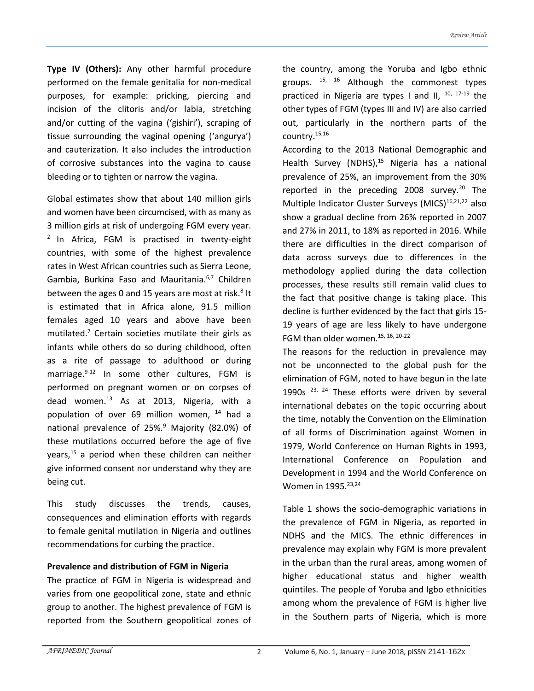**Type IV (Others):** Any other harmful procedure performed on the female genitalia for non-medical purposes, for example: pricking, piercing and incision of the clitoris and/or labia, stretching and/or cutting of the vagina ('gishiri'), scraping of tissue surrounding the vaginal opening ('angurya') and cauterization. It also includes the introduction of corrosive substances into the vagina to cause bleeding or to tighten or narrow the vagina.

Global estimates show that about 140 million girls and women have been circumcised, with as many as 3 million girls at risk of undergoing FGM every year.  $2$  In Africa, FGM is practised in twenty-eight countries, with some of the highest prevalence rates in West African countries such as Sierra Leone, Gambia, Burkina Faso and Mauritania.6,7 Children between the ages 0 and 15 years are most at risk.<sup>8</sup> It is estimated that in Africa alone, 91.5 million females aged 10 years and above have been mutilated. $<sup>7</sup>$  Certain societies mutilate their girls as</sup> infants while others do so during childhood, often as a rite of passage to adulthood or during marriage.<sup>9-12</sup> In some other cultures, FGM is performed on pregnant women or on corpses of dead women.<sup>13</sup> As at 2013, Nigeria, with a population of over 69 million women, <sup>14</sup> had a national prevalence of 25%.<sup>9</sup> Majority (82.0%) of these mutilations occurred before the age of five years, $15$  a period when these children can neither give informed consent nor understand why they are being cut.

This study discusses the trends, causes, consequences and elimination efforts with regards to female genital mutilation in Nigeria and outlines recommendations for curbing the practice.

#### **Prevalence and distribution of FGM in Nigeria**

The practice of FGM in Nigeria is widespread and varies from one geopolitical zone, state and ethnic group to another. The highest prevalence of FGM is reported from the Southern geopolitical zones of the country, among the Yoruba and Igbo ethnic groups.  $15, 16$  Although the commonest types practiced in Nigeria are types I and II,  $10, 17-19$  the other types of FGM (types III and IV) are also carried out, particularly in the northern parts of the country.15,16

According to the 2013 National Demographic and Health Survey (NDHS),<sup>15</sup> Nigeria has a national prevalence of 25%, an improvement from the 30% reported in the preceding 2008 survey.<sup>20</sup> The Multiple Indicator Cluster Surveys (MICS) $16,21,22$  also show a gradual decline from 26% reported in 2007 and 27% in 2011, to 18% as reported in 2016. While there are difficulties in the direct comparison of data across surveys due to differences in the methodology applied during the data collection processes, these results still remain valid clues to the fact that positive change is taking place. This decline is further evidenced by the fact that girls 15- 19 years of age are less likely to have undergone FGM than older women.  $15, 16, 20-22$ 

The reasons for the reduction in prevalence may not be unconnected to the global push for the elimination of FGM, noted to have begun in the late 1990s  $^{23, 24}$  These efforts were driven by several international debates on the topic occurring about the time, notably the Convention on the Elimination of all forms of Discrimination against Women in 1979, World Conference on Human Rights in 1993, International Conference on Population and Development in 1994 and the World Conference on Women in 1995.<sup>23,24</sup>

Table 1 shows the socio-demographic variations in the prevalence of FGM in Nigeria, as reported in NDHS and the MICS. The ethnic differences in prevalence may explain why FGM is more prevalent in the urban than the rural areas, among women of higher educational status and higher wealth quintiles. The people of Yoruba and Igbo ethnicities among whom the prevalence of FGM is higher live in the Southern parts of Nigeria, which is more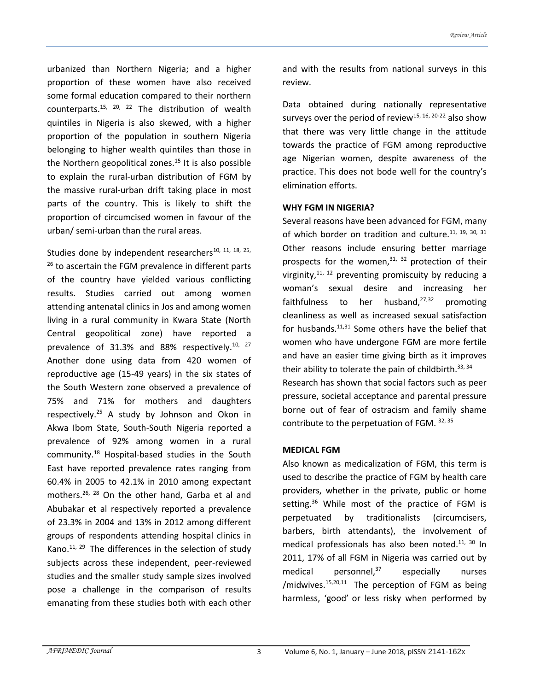urbanized than Northern Nigeria; and a higher proportion of these women have also received some formal education compared to their northern counterparts.15, 20, 22 The distribution of wealth quintiles in Nigeria is also skewed, with a higher proportion of the population in southern Nigeria belonging to higher wealth quintiles than those in the Northern geopolitical zones.<sup>15</sup> It is also possible to explain the rural-urban distribution of FGM by the massive rural-urban drift taking place in most parts of the country. This is likely to shift the proportion of circumcised women in favour of the urban/ semi-urban than the rural areas.

Studies done by independent researchers<sup>10, 11, 18, 25,</sup> <sup>26</sup> to ascertain the FGM prevalence in different parts of the country have yielded various conflicting results. Studies carried out among women attending antenatal clinics in Jos and among women living in a rural community in Kwara State (North Central geopolitical zone) have reported a prevalence of 31.3% and 88% respectively.<sup>10, 27</sup> Another done using data from 420 women of reproductive age (15-49 years) in the six states of the South Western zone observed a prevalence of 75% and 71% for mothers and daughters respectively.<sup>25</sup> A study by Johnson and Okon in Akwa Ibom State, South-South Nigeria reported a prevalence of 92% among women in a rural community.<sup>18</sup> Hospital-based studies in the South East have reported prevalence rates ranging from 60.4% in 2005 to 42.1% in 2010 among expectant mothers.26, 28 On the other hand, Garba et al and Abubakar et al respectively reported a prevalence of 23.3% in 2004 and 13% in 2012 among different groups of respondents attending hospital clinics in Kano. $^{11, 29}$  The differences in the selection of study subjects across these independent, peer-reviewed studies and the smaller study sample sizes involved pose a challenge in the comparison of results emanating from these studies both with each other

and with the results from national surveys in this review.

Data obtained during nationally representative surveys over the period of review<sup>15, 16, 20-22</sup> also show that there was very little change in the attitude towards the practice of FGM among reproductive age Nigerian women, despite awareness of the practice. This does not bode well for the country's elimination efforts.

#### **WHY FGM IN NIGERIA?**

Several reasons have been advanced for FGM, many of which border on tradition and culture.<sup>11, 19, 30, 31</sup> Other reasons include ensuring better marriage prospects for the women, $31, 32$  protection of their virginity, $11, 12$  preventing promiscuity by reducing a woman's sexual desire and increasing her faithfulness to her husband, $27,32$  promoting cleanliness as well as increased sexual satisfaction for husbands. $11,31$  Some others have the belief that women who have undergone FGM are more fertile and have an easier time giving birth as it improves their ability to tolerate the pain of childbirth. 33, 34 Research has shown that social factors such as peer pressure, societal acceptance and parental pressure borne out of fear of ostracism and family shame contribute to the perpetuation of FGM. 32, 35

## **MEDICAL FGM**

Also known as medicalization of FGM, this term is used to describe the practice of FGM by health care providers, whether in the private, public or home setting.<sup>36</sup> While most of the practice of FGM is perpetuated by traditionalists (circumcisers, barbers, birth attendants), the involvement of medical professionals has also been noted. $11, 30$  In 2011, 17% of all FGM in Nigeria was carried out by medical personnel, $37$  especially nurses /midwives.<sup>15,20,11</sup> The perception of FGM as being harmless, 'good' or less risky when performed by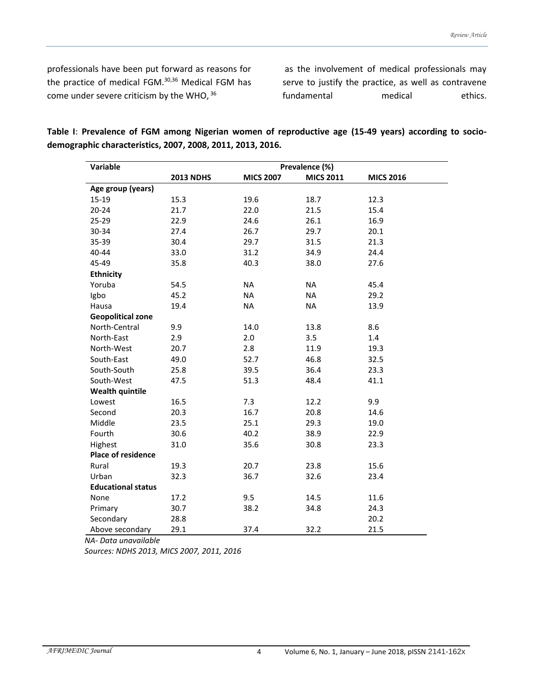professionals have been put forward as reasons for the practice of medical FGM.30,36 Medical FGM has come under severe criticism by the WHO, 36

as the involvement of medical professionals may serve to justify the practice, as well as contravene fundamental medical ethics.

| Variable                  | Prevalence (%)   |                  |                  |                  |
|---------------------------|------------------|------------------|------------------|------------------|
|                           | <b>2013 NDHS</b> | <b>MICS 2007</b> | <b>MICS 2011</b> | <b>MICS 2016</b> |
| Age group (years)         |                  |                  |                  |                  |
| $15-19$                   | 15.3             | 19.6             | 18.7             | 12.3             |
| $20 - 24$                 | 21.7             | 22.0             | 21.5             | 15.4             |
| 25-29                     | 22.9             | 24.6             | 26.1             | 16.9             |
| 30-34                     | 27.4             | 26.7             | 29.7             | 20.1             |
| 35-39                     | 30.4             | 29.7             | 31.5             | 21.3             |
| 40-44                     | 33.0             | 31.2             | 34.9             | 24.4             |
| 45-49                     | 35.8             | 40.3             | 38.0             | 27.6             |
| <b>Ethnicity</b>          |                  |                  |                  |                  |
| Yoruba                    | 54.5             | <b>NA</b>        | <b>NA</b>        | 45.4             |
| Igbo                      | 45.2             | <b>NA</b>        | <b>NA</b>        | 29.2             |
| Hausa                     | 19.4             | <b>NA</b>        | <b>NA</b>        | 13.9             |
| <b>Geopolitical zone</b>  |                  |                  |                  |                  |
| North-Central             | 9.9              | 14.0             | 13.8             | 8.6              |
| North-East                | 2.9              | 2.0              | 3.5              | $1.4\,$          |
| North-West                | 20.7             | 2.8              | 11.9             | 19.3             |
| South-East                | 49.0             | 52.7             | 46.8             | 32.5             |
| South-South               | 25.8             | 39.5             | 36.4             | 23.3             |
| South-West                | 47.5             | 51.3             | 48.4             | 41.1             |
| <b>Wealth quintile</b>    |                  |                  |                  |                  |
| Lowest                    | 16.5             | 7.3              | 12.2             | 9.9              |
| Second                    | 20.3             | 16.7             | 20.8             | 14.6             |
| Middle                    | 23.5             | 25.1             | 29.3             | 19.0             |
| Fourth                    | 30.6             | 40.2             | 38.9             | 22.9             |
| Highest                   | 31.0             | 35.6             | 30.8             | 23.3             |
| <b>Place of residence</b> |                  |                  |                  |                  |
| Rural                     | 19.3             | 20.7             | 23.8             | 15.6             |
| Urban                     | 32.3             | 36.7             | 32.6             | 23.4             |
| <b>Educational status</b> |                  |                  |                  |                  |
| None                      | 17.2             | 9.5              | 14.5             | 11.6             |
| Primary                   | 30.7             | 38.2             | 34.8             | 24.3             |
| Secondary                 | 28.8             |                  |                  | 20.2             |
| Above secondary           | 29.1             | 37.4             | 32.2             | 21.5             |

**Table I**: **Prevalence of FGM among Nigerian women of reproductive age (15-49 years) according to sociodemographic characteristics, 2007, 2008, 2011, 2013, 2016.**

 *NA- Data unavailable*

 *Sources: NDHS 2013, MICS 2007, 2011, 2016*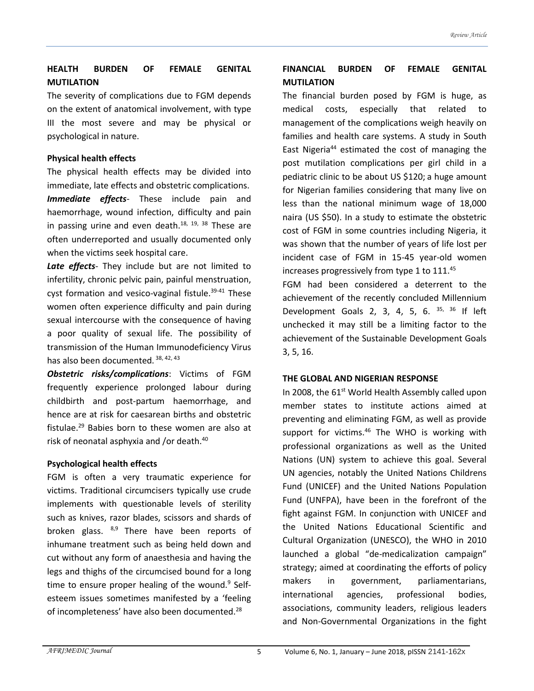# **HEALTH BURDEN OF FEMALE GENITAL MUTILATION**

The severity of complications due to FGM depends on the extent of anatomical involvement, with type III the most severe and may be physical or psychological in nature.

#### **Physical health effects**

The physical health effects may be divided into immediate, late effects and obstetric complications. *Immediate effects*- These include pain and haemorrhage, wound infection, difficulty and pain in passing urine and even death. $18, 19, 38$  These are often underreported and usually documented only when the victims seek hospital care.

*Late effects*- They include but are not limited to infertility, chronic pelvic pain, painful menstruation, cyst formation and vesico-vaginal fistule.<sup>39-41</sup> These women often experience difficulty and pain during sexual intercourse with the consequence of having a poor quality of sexual life. The possibility of transmission of the Human Immunodeficiency Virus has also been documented. 38, 42, 43

*Obstetric risks/complications*: Victims of FGM frequently experience prolonged labour during childbirth and post-partum haemorrhage, and hence are at risk for caesarean births and obstetric fistulae.<sup>29</sup> Babies born to these women are also at risk of neonatal asphyxia and /or death.<sup>40</sup>

## **Psychological health effects**

FGM is often a very traumatic experience for victims. Traditional circumcisers typically use crude implements with questionable levels of sterility such as knives, razor blades, scissors and shards of broken glass.  $8,9$  There have been reports of inhumane treatment such as being held down and cut without any form of anaesthesia and having the legs and thighs of the circumcised bound for a long time to ensure proper healing of the wound.<sup>9</sup> Selfesteem issues sometimes manifested by a 'feeling of incompleteness' have also been documented.<sup>28</sup>

# **FINANCIAL BURDEN OF FEMALE GENITAL MUTILATION**

The financial burden posed by FGM is huge, as medical costs, especially that related to management of the complications weigh heavily on families and health care systems. A study in South East Nigeria<sup>44</sup> estimated the cost of managing the post mutilation complications per girl child in a pediatric clinic to be about US \$120; a huge amount for Nigerian families considering that many live on less than the national minimum wage of 18,000 naira (US \$50). In a study to estimate the obstetric cost of FGM in some countries including Nigeria, it was shown that the number of years of life lost per incident case of FGM in 15-45 year-old women increases progressively from type 1 to 111.45

FGM had been considered a deterrent to the achievement of the recently concluded Millennium Development Goals 2, 3, 4, 5, 6.  $35, 36$  If left unchecked it may still be a limiting factor to the achievement of the Sustainable Development Goals 3, 5, 16.

#### **THE GLOBAL AND NIGERIAN RESPONSE**

In 2008, the  $61<sup>st</sup>$  World Health Assembly called upon member states to institute actions aimed at preventing and eliminating FGM, as well as provide support for victims.<sup>46</sup> The WHO is working with professional organizations as well as the United Nations (UN) system to achieve this goal. Several UN agencies, notably the United Nations Childrens Fund (UNICEF) and the United Nations Population Fund (UNFPA), have been in the forefront of the fight against FGM. In conjunction with UNICEF and the United Nations Educational Scientific and Cultural Organization (UNESCO), the WHO in 2010 launched a global "de-medicalization campaign" strategy; aimed at coordinating the efforts of policy makers in government, parliamentarians, international agencies, professional bodies, associations, community leaders, religious leaders and Non-Governmental Organizations in the fight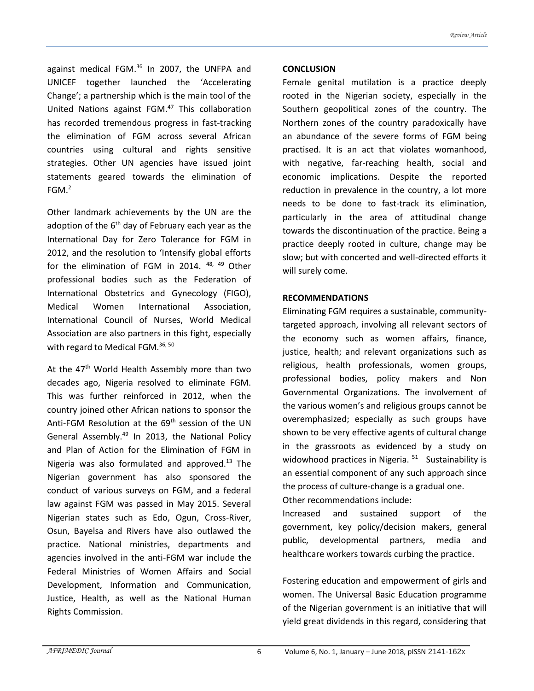against medical FGM.<sup>36</sup> In 2007, the UNFPA and UNICEF together launched the 'Accelerating Change'; a partnership which is the main tool of the United Nations against FGM.<sup>47</sup> This collaboration has recorded tremendous progress in fast-tracking the elimination of FGM across several African countries using cultural and rights sensitive strategies. Other UN agencies have issued joint statements geared towards the elimination of  $FGM.<sup>2</sup>$ 

Other landmark achievements by the UN are the adoption of the  $6<sup>th</sup>$  day of February each year as the International Day for Zero Tolerance for FGM in 2012, and the resolution to 'Intensify global efforts for the elimination of FGM in 2014. 48, 49 Other professional bodies such as the Federation of International Obstetrics and Gynecology (FIGO), Medical Women International Association, International Council of Nurses, World Medical Association are also partners in this fight, especially with regard to Medical FGM.<sup>36, 50</sup>

At the 47<sup>th</sup> World Health Assembly more than two decades ago, Nigeria resolved to eliminate FGM. This was further reinforced in 2012, when the country joined other African nations to sponsor the Anti-FGM Resolution at the 69<sup>th</sup> session of the UN General Assembly.<sup>49</sup> In 2013, the National Policy and Plan of Action for the Elimination of FGM in Nigeria was also formulated and approved. $13$  The Nigerian government has also sponsored the conduct of various surveys on FGM, and a federal law against FGM was passed in May 2015. Several Nigerian states such as Edo, Ogun, Cross-River, Osun, Bayelsa and Rivers have also outlawed the practice. National ministries, departments and agencies involved in the anti-FGM war include the Federal Ministries of Women Affairs and Social Development, Information and Communication, Justice, Health, as well as the National Human Rights Commission.

#### **CONCLUSION**

Female genital mutilation is a practice deeply rooted in the Nigerian society, especially in the Southern geopolitical zones of the country. The Northern zones of the country paradoxically have an abundance of the severe forms of FGM being practised. It is an act that violates womanhood, with negative, far-reaching health, social and economic implications. Despite the reported reduction in prevalence in the country, a lot more needs to be done to fast-track its elimination, particularly in the area of attitudinal change towards the discontinuation of the practice. Being a practice deeply rooted in culture, change may be slow; but with concerted and well-directed efforts it will surely come.

#### **RECOMMENDATIONS**

Eliminating FGM requires a sustainable, communitytargeted approach, involving all relevant sectors of the economy such as women affairs, finance, justice, health; and relevant organizations such as religious, health professionals, women groups, professional bodies, policy makers and Non Governmental Organizations. The involvement of the various women's and religious groups cannot be overemphasized; especially as such groups have shown to be very effective agents of cultural change in the grassroots as evidenced by a study on widowhood practices in Nigeria. <sup>51</sup> Sustainability is an essential component of any such approach since the process of culture-change is a gradual one. Other recommendations include:

Increased and sustained support of the government, key policy/decision makers, general public, developmental partners, media and healthcare workers towards curbing the practice.

Fostering education and empowerment of girls and women. The Universal Basic Education programme of the Nigerian government is an initiative that will yield great dividends in this regard, considering that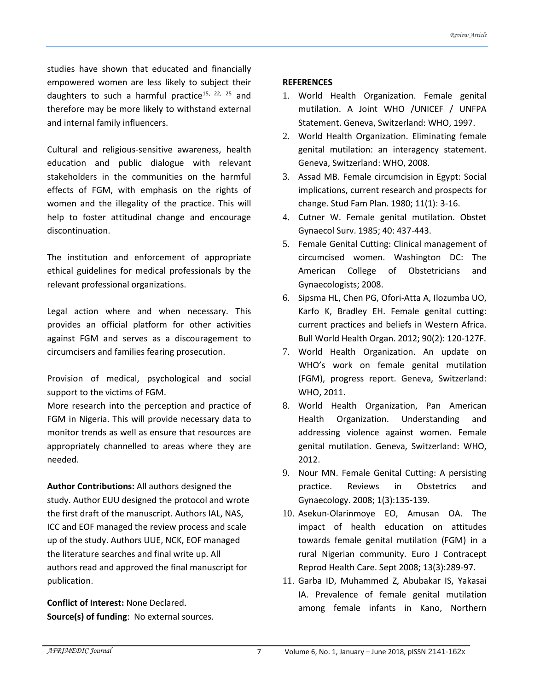studies have shown that educated and financially empowered women are less likely to subject their daughters to such a harmful practice<sup>15, 22, 25</sup> and therefore may be more likely to withstand external and internal family influencers.

Cultural and religious-sensitive awareness, health education and public dialogue with relevant stakeholders in the communities on the harmful effects of FGM, with emphasis on the rights of women and the illegality of the practice. This will help to foster attitudinal change and encourage discontinuation.

The institution and enforcement of appropriate ethical guidelines for medical professionals by the relevant professional organizations.

Legal action where and when necessary. This provides an official platform for other activities against FGM and serves as a discouragement to circumcisers and families fearing prosecution.

Provision of medical, psychological and social support to the victims of FGM.

More research into the perception and practice of FGM in Nigeria. This will provide necessary data to monitor trends as well as ensure that resources are appropriately channelled to areas where they are needed.

**Author Contributions:** All authors designed the study. Author EUU designed the protocol and wrote the first draft of the manuscript. Authors IAL, NAS, ICC and EOF managed the review process and scale up of the study. Authors UUE, NCK, EOF managed the literature searches and final write up. All authors read and approved the final manuscript for publication.

**Conflict of Interest:** None Declared. **Source(s) of funding**: No external sources.

### **REFERENCES**

- 1. World Health Organization. Female genital mutilation. A Joint WHO /UNICEF / UNFPA Statement. Geneva, Switzerland: WHO, 1997.
- 2. World Health Organization. Eliminating female genital mutilation: an interagency statement. Geneva, Switzerland: WHO, 2008.
- 3. Assad MB. Female circumcision in Egypt: Social implications, current research and prospects for change. Stud Fam Plan. 1980; 11(1): 3-16.
- 4. Cutner W. Female genital mutilation. Obstet Gynaecol Surv. 1985; 40: 437-443.
- 5. Female Genital Cutting: Clinical management of circumcised women. Washington DC: The American College of Obstetricians and Gynaecologists; 2008.
- 6. Sipsma HL, Chen PG, Ofori-Atta A, Ilozumba UO, Karfo K, Bradley EH. Female genital cutting: current practices and beliefs in Western Africa. Bull World Health Organ. 2012; 90(2): 120-127F.
- 7. World Health Organization. An update on WHO's work on female genital mutilation (FGM), progress report. Geneva, Switzerland: WHO, 2011.
- 8. World Health Organization, Pan American Health Organization. Understanding and addressing violence against women. Female genital mutilation. Geneva, Switzerland: WHO, 2012.
- 9. Nour MN. Female Genital Cutting: A persisting practice. Reviews in Obstetrics and Gynaecology. 2008; 1(3):135-139.
- 10. Asekun-Olarinmoye EO, Amusan OA. The impact of health education on attitudes towards female genital mutilation (FGM) in a rural Nigerian community. Euro J Contracept Reprod Health Care. Sept 2008; 13(3):289-97.
- 11. Garba ID, Muhammed Z, Abubakar IS, Yakasai IA. Prevalence of female genital mutilation among female infants in Kano, Northern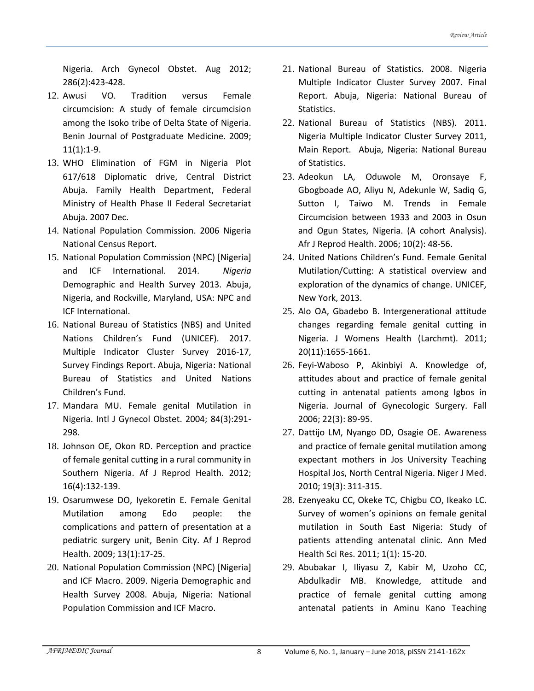Nigeria. Arch Gynecol Obstet. Aug 2012; 286(2):423-428.

- 12. Awusi VO. Tradition versus Female circumcision: A study of female circumcision among the Isoko tribe of Delta State of Nigeria. Benin Journal of Postgraduate Medicine. 2009; 11(1):1-9.
- 13. WHO Elimination of FGM in Nigeria Plot 617/618 Diplomatic drive, Central District Abuja. Family Health Department, Federal Ministry of Health Phase II Federal Secretariat Abuja. 2007 Dec.
- 14. National Population Commission. 2006 Nigeria National Census Report.
- 15. National Population Commission (NPC) [Nigeria] and ICF International. 2014. *Nigeria*  Demographic and Health Survey 2013. Abuja, Nigeria, and Rockville, Maryland, USA: NPC and ICF International.
- 16. National Bureau of Statistics (NBS) and United Nations Children's Fund (UNICEF). 2017. Multiple Indicator Cluster Survey 2016-17, Survey Findings Report. Abuja, Nigeria: National Bureau of Statistics and United Nations Children's Fund.
- 17. Mandara MU. Female genital Mutilation in Nigeria. Intl J Gynecol Obstet. 2004; 84(3):291- 298.
- 18. Johnson OE, Okon RD. Perception and practice of female genital cutting in a rural community in Southern Nigeria. Af J Reprod Health. 2012; 16(4):132-139.
- 19. Osarumwese DO, Iyekoretin E. Female Genital Mutilation among Edo people: the complications and pattern of presentation at a pediatric surgery unit, Benin City. Af J Reprod Health. 2009; 13(1):17-25.
- 20. National Population Commission (NPC) [Nigeria] and ICF Macro. 2009. Nigeria Demographic and Health Survey 2008. Abuja, Nigeria: National Population Commission and ICF Macro.
- 21. National Bureau of Statistics. 2008. Nigeria Multiple Indicator Cluster Survey 2007. Final Report. Abuja, Nigeria: National Bureau of Statistics.
- 22. National Bureau of Statistics (NBS). 2011. Nigeria Multiple Indicator Cluster Survey 2011, Main Report. Abuja, Nigeria: National Bureau of Statistics.
- 23. Adeokun LA, Oduwole M, Oronsaye F, Gbogboade AO, Aliyu N, Adekunle W, Sadiq G, Sutton I, Taiwo M. Trends in Female Circumcision between 1933 and 2003 in Osun and Ogun States, Nigeria. (A cohort Analysis). Afr J Reprod Health. 2006; 10(2): 48-56.
- 24. United Nations Children's Fund. Female Genital Mutilation/Cutting: A statistical overview and exploration of the dynamics of change. UNICEF, New York, 2013.
- 25. Alo OA, Gbadebo B. Intergenerational attitude changes regarding female genital cutting in Nigeria. J Womens Health (Larchmt). 2011; 20(11):1655-1661.
- 26. Feyi-Waboso P, Akinbiyi A. Knowledge of, attitudes about and practice of female genital cutting in antenatal patients among Igbos in Nigeria. Journal of Gynecologic Surgery. Fall 2006; 22(3): 89-95.
- 27. Dattijo LM, Nyango DD, Osagie OE. Awareness and practice of female genital mutilation among expectant mothers in Jos University Teaching Hospital Jos, North Central Nigeria. Niger J Med. 2010; 19(3): 311-315.
- 28. Ezenyeaku CC, Okeke TC, Chigbu CO, Ikeako LC. Survey of women's opinions on female genital mutilation in South East Nigeria: Study of patients attending antenatal clinic. Ann Med Health Sci Res. 2011; 1(1): 15-20.
- 29. Abubakar I, Iliyasu Z, Kabir M, Uzoho CC, Abdulkadir MB. Knowledge, attitude and practice of female genital cutting among antenatal patients in Aminu Kano Teaching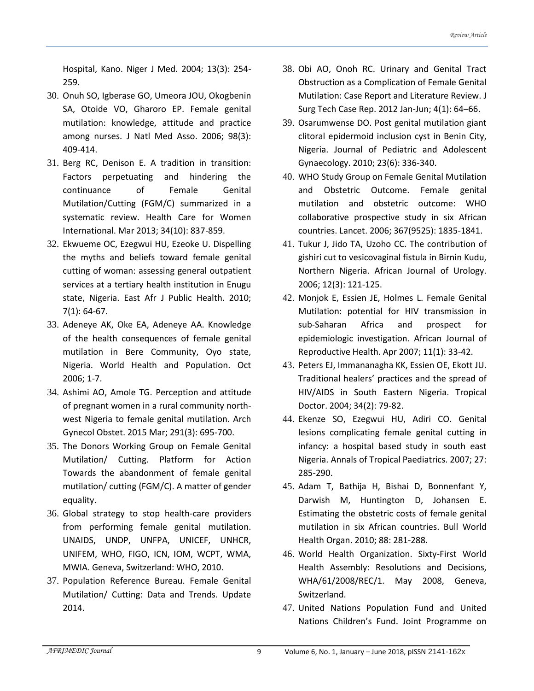Hospital, Kano. Niger J Med. 2004; 13(3): 254- 259.

- 30. Onuh SO, Igberase GO, Umeora JOU, Okogbenin SA, Otoide VO, Gharoro EP. Female genital mutilation: knowledge, attitude and practice among nurses. J Natl Med Asso. 2006; 98(3): 409-414.
- 31. Berg RC, Denison E. A tradition in transition: Factors perpetuating and hindering the continuance of Female Genital Mutilation/Cutting (FGM/C) summarized in a systematic review. Health Care for Women International. Mar 2013; 34(10): 837-859.
- 32. Ekwueme OC, Ezegwui HU, Ezeoke U. Dispelling the myths and beliefs toward female genital cutting of woman: assessing general outpatient services at a tertiary health institution in Enugu state, Nigeria. East Afr J Public Health. 2010; 7(1): 64-67.
- 33. Adeneye AK, Oke EA, Adeneye AA. Knowledge of the health consequences of female genital mutilation in Bere Community, Oyo state, Nigeria. World Health and Population. Oct 2006; 1-7.
- 34. Ashimi AO, Amole TG. Perception and attitude of pregnant women in a rural community northwest Nigeria to female genital mutilation. Arch Gynecol Obstet. 2015 Mar; 291(3): 695-700.
- 35. The Donors Working Group on Female Genital Mutilation/ Cutting. Platform for Action Towards the abandonment of female genital mutilation/ cutting (FGM/C). A matter of gender equality.
- 36. Global strategy to stop health-care providers from performing female genital mutilation. UNAIDS, UNDP, UNFPA, UNICEF, UNHCR, UNIFEM, WHO, FIGO, ICN, IOM, WCPT, WMA, MWIA. Geneva, Switzerland: WHO, 2010.
- 37. Population Reference Bureau. Female Genital Mutilation/ Cutting: Data and Trends. Update 2014.
- 38. Obi AO, Onoh RC. Urinary and Genital Tract Obstruction as a Complication of Female Genital Mutilation: Case Report and Literature Review. J Surg Tech Case Rep. 2012 Jan-Jun; 4(1): 64–66.
- 39. Osarumwense DO. Post genital mutilation giant clitoral epidermoid inclusion cyst in Benin City, Nigeria. Journal of Pediatric and Adolescent Gynaecology. 2010; 23(6): 336-340.
- 40. WHO Study Group on Female Genital Mutilation and Obstetric Outcome. Female genital mutilation and obstetric outcome: WHO collaborative prospective study in six African countries. Lancet. 2006; 367(9525): 1835-1841.
- 41. Tukur J, Jido TA, Uzoho CC. The contribution of gishiri cut to vesicovaginal fistula in Birnin Kudu, Northern Nigeria. African Journal of Urology. 2006; 12(3): 121-125.
- 42. Monjok E, Essien JE, Holmes L. Female Genital Mutilation: potential for HIV transmission in sub-Saharan Africa and prospect for epidemiologic investigation. African Journal of Reproductive Health. Apr 2007; 11(1): 33-42.
- 43. Peters EJ, Immananagha KK, Essien OE, Ekott JU. Traditional healers' practices and the spread of HIV/AIDS in South Eastern Nigeria. Tropical Doctor. 2004; 34(2): 79-82.
- 44. Ekenze SO, Ezegwui HU, Adiri CO. Genital lesions complicating female genital cutting in infancy: a hospital based study in south east Nigeria. Annals of Tropical Paediatrics. 2007; 27: 285-290.
- 45. Adam T, Bathija H, Bishai D, Bonnenfant Y, Darwish M, Huntington D, Johansen E. Estimating the obstetric costs of female genital mutilation in six African countries. Bull World Health Organ. 2010; 88: 281-288.
- 46. World Health Organization. Sixty-First World Health Assembly: Resolutions and Decisions, WHA/61/2008/REC/1. May 2008, Geneva, Switzerland.
- 47. United Nations Population Fund and United Nations Children's Fund. Joint Programme on